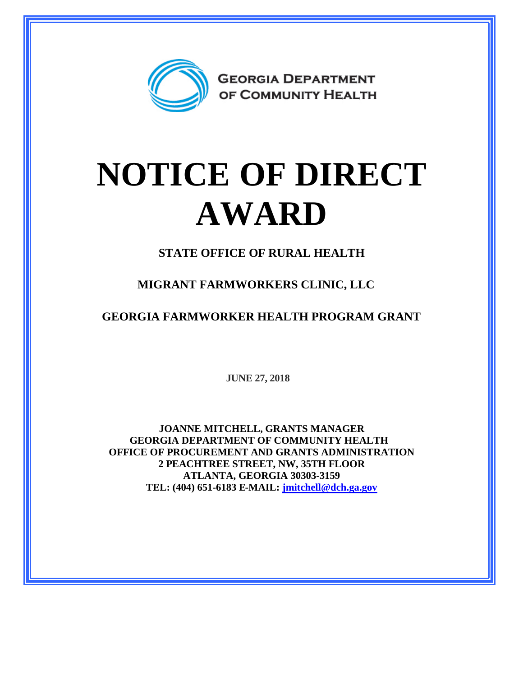

## **NOTICE OF DIRECT AWARD**

**STATE OFFICE OF RURAL HEALTH**

**MIGRANT FARMWORKERS CLINIC, LLC**

**GEORGIA FARMWORKER HEALTH PROGRAM GRANT**

**JUNE 27, 2018**

**JOANNE MITCHELL, GRANTS MANAGER GEORGIA DEPARTMENT OF COMMUNITY HEALTH OFFICE OF PROCUREMENT AND GRANTS ADMINISTRATION 2 PEACHTREE STREET, NW, 35TH FLOOR ATLANTA, GEORGIA 30303-3159 TEL: (404) 651-6183 E-MAIL: [jmitchell@dch.ga.gov](mailto:jmitchell@dch.ga.gov)**